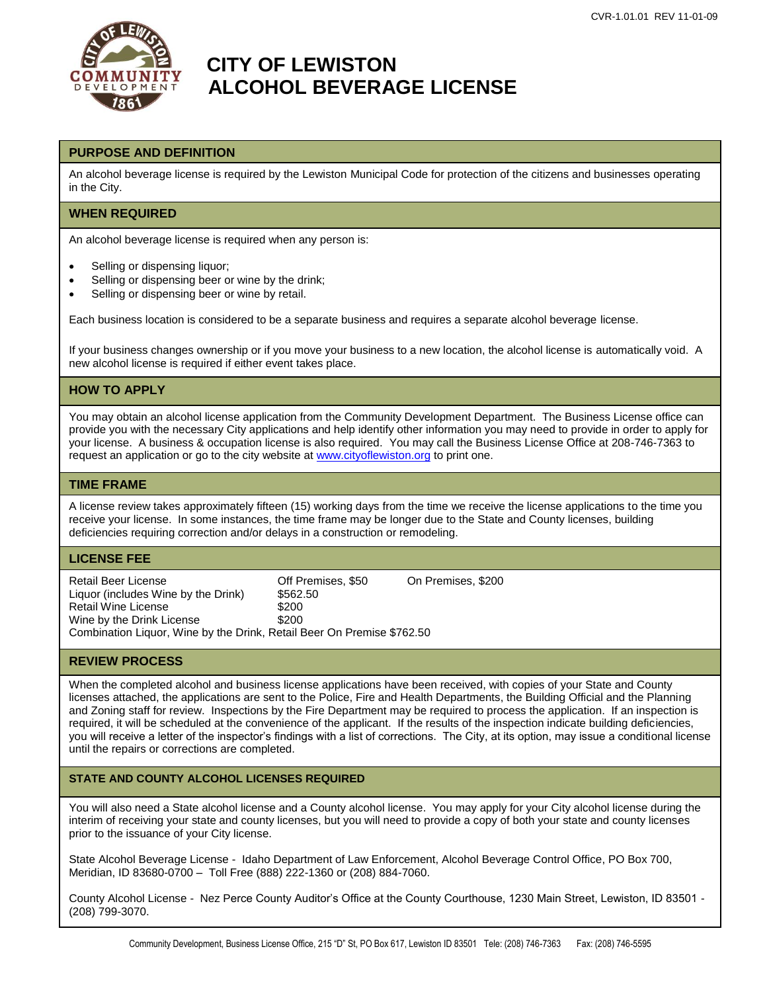

# **COMMUNITY CITY OF LEWISTON** *DEVELOPMENT* **ALCOHOL BEVERAGE LICENSE**

### **PURPOSE AND DEFINITION**

An alcohol beverage license is required by the Lewiston Municipal Code for protection of the citizens and businesses operating in the City.

### **WHEN REQUIRED**

An alcohol beverage license is required when any person is:

- Selling or dispensing liquor;
- Selling or dispensing beer or wine by the drink;
- Selling or dispensing beer or wine by retail.

Each business location is considered to be a separate business and requires a separate alcohol beverage license.

If your business changes ownership or if you move your business to a new location, the alcohol license is automatically void. A new alcohol license is required if either event takes place.

## **HOW TO APPLY**

You may obtain an alcohol license application from the Community Development Department. The Business License office can provide you with the necessary City applications and help identify other information you may need to provide in order to apply for your license. A business & occupation license is also required. You may call the Business License Office at 208-746-7363 to request an application or go to the city website a[t www.cityoflewiston.org](http://www.cityoflewiston.org/) to print one.

#### **TIME FRAME**

A license review takes approximately fifteen (15) working days from the time we receive the license applications to the time you receive your license. In some instances, the time frame may be longer due to the State and County licenses, building deficiencies requiring correction and/or delays in a construction or remodeling.

#### **LICENSE FEE**

Retail Beer License Off Premises, \$50 On Premises, \$200 Liquor (includes Wine by the Drink) \$562.50 Retail Wine License \$200 Wine by the Drink License \$200 Combination Liquor, Wine by the Drink, Retail Beer On Premise \$762.50

### **REVIEW PROCESS**

When the completed alcohol and business license applications have been received, with copies of your State and County licenses attached, the applications are sent to the Police, Fire and Health Departments, the Building Official and the Planning and Zoning staff for review. Inspections by the Fire Department may be required to process the application. If an inspection is required, it will be scheduled at the convenience of the applicant. If the results of the inspection indicate building deficiencies, you will receive a letter of the inspector's findings with a list of corrections. The City, at its option, may issue a conditional license until the repairs or corrections are completed.

### **STATE AND COUNTY ALCOHOL LICENSES REQUIRED**

You will also need a State alcohol license and a County alcohol license. You may apply for your City alcohol license during the interim of receiving your state and county licenses, but you will need to provide a copy of both your state and county licenses prior to the issuance of your City license.

State Alcohol Beverage License - Idaho Department of Law Enforcement, Alcohol Beverage Control Office, PO Box 700, Meridian, ID 83680-0700 – Toll Free (888) 222-1360 or (208) 884-7060.

County Alcohol License - Nez Perce County Auditor's Office at the County Courthouse, 1230 Main Street, Lewiston, ID 83501 - (208) 799-3070.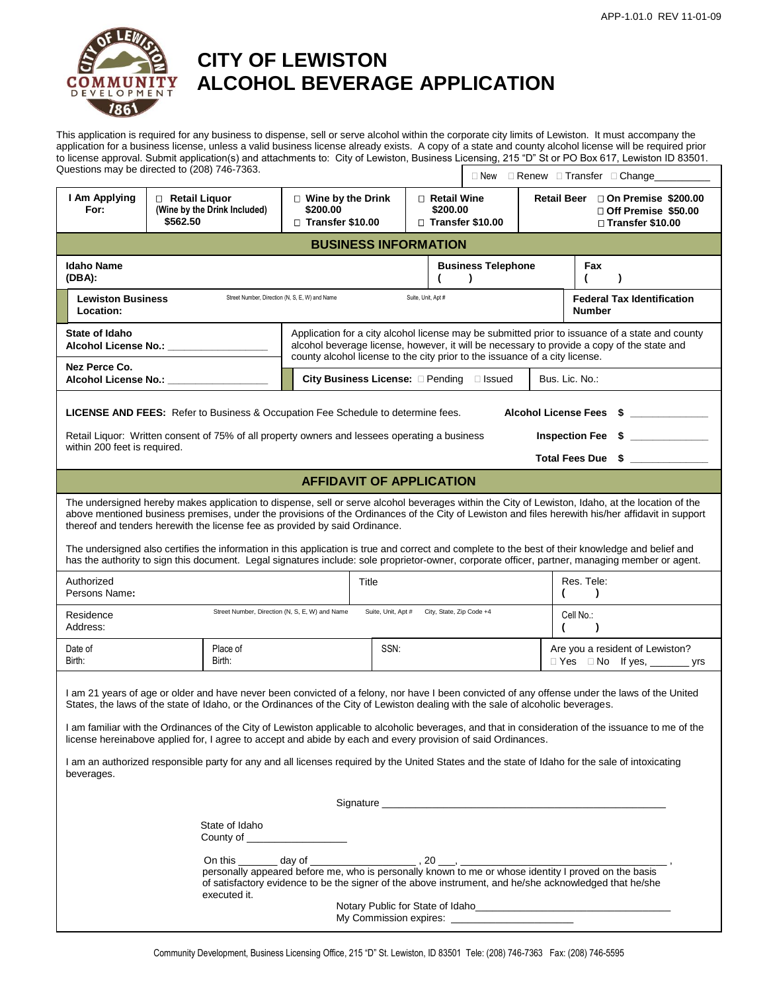

# **CITY OF LEWISTON COMMUNITY ALCOHOL BEVERAGE APPLICATION**

This application is required for any business to dispense, sell or serve alcohol within the corporate city limits of Lewiston. It must accompany the application for a business license, unless a valid business license already exists. A copy of a state and county alcohol license will be required prior to license approval. Submit application(s) and attachments to: City of Lewiston, Business Licensing, 215 "D" St or PO Box 617, Lewiston ID 83501.<br>Questions may be directed to (208) 746-7363. Questions may be directed to (208) 746-7363.

| wasanono may bo ancolog lo (2007 PHO TOOO.                                                                                                                                                                                                                                                                                                                                                                                                                                                                                                                                                                                                                                                                                |                                                                                                                                                                                                                                |                                                                                                                                                                                                                                                                              |                                        |                         | $\Box$ New $\Box$ Renew $\Box$ Transfer $\Box$ Change |                                                                                                                                                 |  |  |
|---------------------------------------------------------------------------------------------------------------------------------------------------------------------------------------------------------------------------------------------------------------------------------------------------------------------------------------------------------------------------------------------------------------------------------------------------------------------------------------------------------------------------------------------------------------------------------------------------------------------------------------------------------------------------------------------------------------------------|--------------------------------------------------------------------------------------------------------------------------------------------------------------------------------------------------------------------------------|------------------------------------------------------------------------------------------------------------------------------------------------------------------------------------------------------------------------------------------------------------------------------|----------------------------------------|-------------------------|-------------------------------------------------------|-------------------------------------------------------------------------------------------------------------------------------------------------|--|--|
| I Am Applying<br>For:                                                                                                                                                                                                                                                                                                                                                                                                                                                                                                                                                                                                                                                                                                     | □ Retail Liquor<br>(Wine by the Drink Included)<br>\$562.50                                                                                                                                                                    | $\Box$ Wine by the Drink<br>\$200.00<br>$\Box$ Transfer \$10.00                                                                                                                                                                                                              | $\Box$ Retail Wine<br>\$200.00         | $\Box$ Transfer \$10.00 |                                                       | Retail Beer □ On Premise \$200.00<br>□ Off Premise \$50.00<br>□ Transfer \$10.00                                                                |  |  |
| <b>BUSINESS INFORMATION</b>                                                                                                                                                                                                                                                                                                                                                                                                                                                                                                                                                                                                                                                                                               |                                                                                                                                                                                                                                |                                                                                                                                                                                                                                                                              |                                        |                         |                                                       |                                                                                                                                                 |  |  |
| <b>Idaho Name</b><br>(DBA):                                                                                                                                                                                                                                                                                                                                                                                                                                                                                                                                                                                                                                                                                               |                                                                                                                                                                                                                                |                                                                                                                                                                                                                                                                              | <b>Business Telephone</b><br>$\lambda$ |                         |                                                       | Fax<br>$\lambda$                                                                                                                                |  |  |
| <b>Lewiston Business</b><br>Location:                                                                                                                                                                                                                                                                                                                                                                                                                                                                                                                                                                                                                                                                                     |                                                                                                                                                                                                                                | Suite, Unit, Apt #<br>Street Number, Direction (N, S, E, W) and Name                                                                                                                                                                                                         |                                        |                         |                                                       | <b>Federal Tax Identification</b><br><b>Number</b>                                                                                              |  |  |
| State of Idaho                                                                                                                                                                                                                                                                                                                                                                                                                                                                                                                                                                                                                                                                                                            | Alcohol License No.: _______________                                                                                                                                                                                           | Application for a city alcohol license may be submitted prior to issuance of a state and county<br>alcohol beverage license, however, it will be necessary to provide a copy of the state and<br>county alcohol license to the city prior to the issuance of a city license. |                                        |                         |                                                       |                                                                                                                                                 |  |  |
| Nez Perce Co.                                                                                                                                                                                                                                                                                                                                                                                                                                                                                                                                                                                                                                                                                                             | Alcohol License No.: _________________                                                                                                                                                                                         | City Business License: Pending Dissued                                                                                                                                                                                                                                       |                                        | Bus. Lic. No.:          |                                                       |                                                                                                                                                 |  |  |
| <b>LICENSE AND FEES:</b> Refer to Business & Occupation Fee Schedule to determine fees.<br>Alcohol License Fees \$ ___________<br>Inspection Fee \$<br>Retail Liquor: Written consent of 75% of all property owners and lessees operating a business                                                                                                                                                                                                                                                                                                                                                                                                                                                                      |                                                                                                                                                                                                                                |                                                                                                                                                                                                                                                                              |                                        |                         |                                                       |                                                                                                                                                 |  |  |
| within 200 feet is required.                                                                                                                                                                                                                                                                                                                                                                                                                                                                                                                                                                                                                                                                                              |                                                                                                                                                                                                                                |                                                                                                                                                                                                                                                                              |                                        |                         |                                                       | Total Fees Due \$ _____________                                                                                                                 |  |  |
|                                                                                                                                                                                                                                                                                                                                                                                                                                                                                                                                                                                                                                                                                                                           |                                                                                                                                                                                                                                | <b>AFFIDAVIT OF APPLICATION</b>                                                                                                                                                                                                                                              |                                        |                         |                                                       |                                                                                                                                                 |  |  |
| The undersigned hereby makes application to dispense, sell or serve alcohol beverages within the City of Lewiston, Idaho, at the location of the<br>above mentioned business premises, under the provisions of the Ordinances of the City of Lewiston and files herewith his/her affidavit in support<br>thereof and tenders herewith the license fee as provided by said Ordinance.<br>The undersigned also certifies the information in this application is true and correct and complete to the best of their knowledge and belief and                                                                                                                                                                                 |                                                                                                                                                                                                                                |                                                                                                                                                                                                                                                                              |                                        |                         |                                                       |                                                                                                                                                 |  |  |
|                                                                                                                                                                                                                                                                                                                                                                                                                                                                                                                                                                                                                                                                                                                           |                                                                                                                                                                                                                                |                                                                                                                                                                                                                                                                              |                                        |                         |                                                       | has the authority to sign this document. Legal signatures include: sole proprietor-owner, corporate officer, partner, managing member or agent. |  |  |
| Authorized<br>Persons Name:                                                                                                                                                                                                                                                                                                                                                                                                                                                                                                                                                                                                                                                                                               |                                                                                                                                                                                                                                | Title                                                                                                                                                                                                                                                                        |                                        |                         |                                                       | Res. Tele:<br>$\lambda$<br>(                                                                                                                    |  |  |
| Residence<br>Address:                                                                                                                                                                                                                                                                                                                                                                                                                                                                                                                                                                                                                                                                                                     |                                                                                                                                                                                                                                | Suite, Unit, Apt # City, State, Zip Code +4<br>Street Number, Direction (N, S, E, W) and Name                                                                                                                                                                                |                                        |                         |                                                       | Cell No.:<br>(<br>$\lambda$                                                                                                                     |  |  |
| Date of<br>Birth:                                                                                                                                                                                                                                                                                                                                                                                                                                                                                                                                                                                                                                                                                                         | Place of<br>Birth:                                                                                                                                                                                                             | SSN:                                                                                                                                                                                                                                                                         |                                        |                         |                                                       | Are you a resident of Lewiston?<br>□ Yes □ No If yes, _________ yrs                                                                             |  |  |
| I am 21 years of age or older and have never been convicted of a felony, nor have I been convicted of any offense under the laws of the United<br>States, the laws of the state of Idaho, or the Ordinances of the City of Lewiston dealing with the sale of alcoholic beverages.<br>I am familiar with the Ordinances of the City of Lewiston applicable to alcoholic beverages, and that in consideration of the issuance to me of the<br>license hereinabove applied for, I agree to accept and abide by each and every provision of said Ordinances.<br>I am an authorized responsible party for any and all licenses required by the United States and the state of Idaho for the sale of intoxicating<br>beverages. |                                                                                                                                                                                                                                |                                                                                                                                                                                                                                                                              |                                        |                         |                                                       |                                                                                                                                                 |  |  |
|                                                                                                                                                                                                                                                                                                                                                                                                                                                                                                                                                                                                                                                                                                                           |                                                                                                                                                                                                                                |                                                                                                                                                                                                                                                                              |                                        |                         |                                                       |                                                                                                                                                 |  |  |
|                                                                                                                                                                                                                                                                                                                                                                                                                                                                                                                                                                                                                                                                                                                           | State of Idaho<br>County of ____________________                                                                                                                                                                               |                                                                                                                                                                                                                                                                              |                                        |                         |                                                       |                                                                                                                                                 |  |  |
|                                                                                                                                                                                                                                                                                                                                                                                                                                                                                                                                                                                                                                                                                                                           | personally appeared before me, who is personally known to me or whose identity I proved on the basis<br>of satisfactory evidence to be the signer of the above instrument, and he/she acknowledged that he/she<br>executed it. |                                                                                                                                                                                                                                                                              |                                        |                         |                                                       |                                                                                                                                                 |  |  |
| Notary Public for State of Idaho                                                                                                                                                                                                                                                                                                                                                                                                                                                                                                                                                                                                                                                                                          |                                                                                                                                                                                                                                |                                                                                                                                                                                                                                                                              |                                        |                         |                                                       |                                                                                                                                                 |  |  |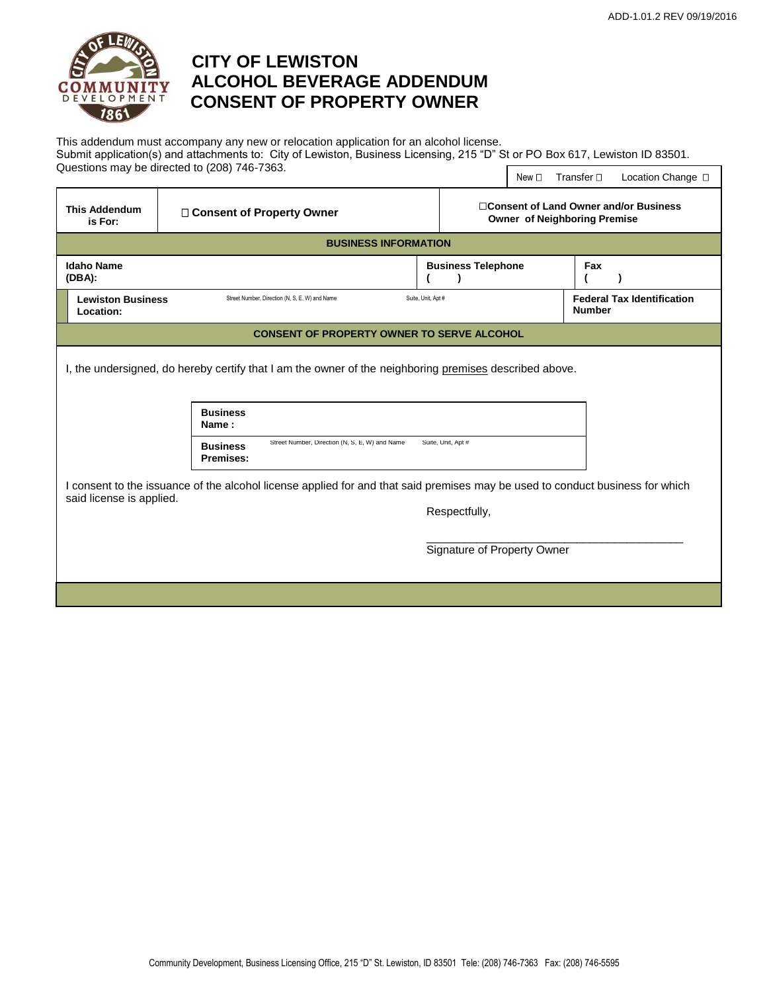

# **CITY OF LEWISTON COMMUNITY ALCOHOL BEVERAGE ADDENDUM CONSENT OF PROPERTY OWNER**

This addendum must accompany any new or relocation application for an alcohol license. Submit application(s) and attachments to: City of Lewiston, Business Licensing, 215 "D" St or PO Box 617, Lewiston ID 83501. Questions may be directed to (208) 746-7363. New  $\Box$  Transfer  $\Box$  Location Change  $\Box$ 

| <b>This Addendum</b><br>is For:                                                                                                                                            | □ Consent of Property Owner                                                    |                           | □ Consent of Land Owner and/or Business<br><b>Owner of Neighboring Premise</b> |                                                    |  |  |  |  |
|----------------------------------------------------------------------------------------------------------------------------------------------------------------------------|--------------------------------------------------------------------------------|---------------------------|--------------------------------------------------------------------------------|----------------------------------------------------|--|--|--|--|
| <b>BUSINESS INFORMATION</b>                                                                                                                                                |                                                                                |                           |                                                                                |                                                    |  |  |  |  |
| <b>Idaho Name</b><br>$(DBA)$ :                                                                                                                                             |                                                                                | <b>Business Telephone</b> |                                                                                | Fax                                                |  |  |  |  |
| <b>Lewiston Business</b><br>Street Number, Direction (N, S, E, W) and Name<br>Location:                                                                                    |                                                                                | Suite, Unit, Apt #        |                                                                                | <b>Federal Tax Identification</b><br><b>Number</b> |  |  |  |  |
|                                                                                                                                                                            | <b>CONSENT OF PROPERTY OWNER TO SERVE ALCOHOL</b>                              |                           |                                                                                |                                                    |  |  |  |  |
| I, the undersigned, do hereby certify that I am the owner of the neighboring premises described above.<br><b>Business</b><br>Name:                                         |                                                                                |                           |                                                                                |                                                    |  |  |  |  |
|                                                                                                                                                                            | Street Number, Direction (N, S, E, W) and Name<br><b>Business</b><br>Premises: | Suite, Unit, Apt #        |                                                                                |                                                    |  |  |  |  |
| I consent to the issuance of the alcohol license applied for and that said premises may be used to conduct business for which<br>said license is applied.<br>Respectfully, |                                                                                |                           |                                                                                |                                                    |  |  |  |  |
|                                                                                                                                                                            |                                                                                |                           | Signature of Property Owner                                                    |                                                    |  |  |  |  |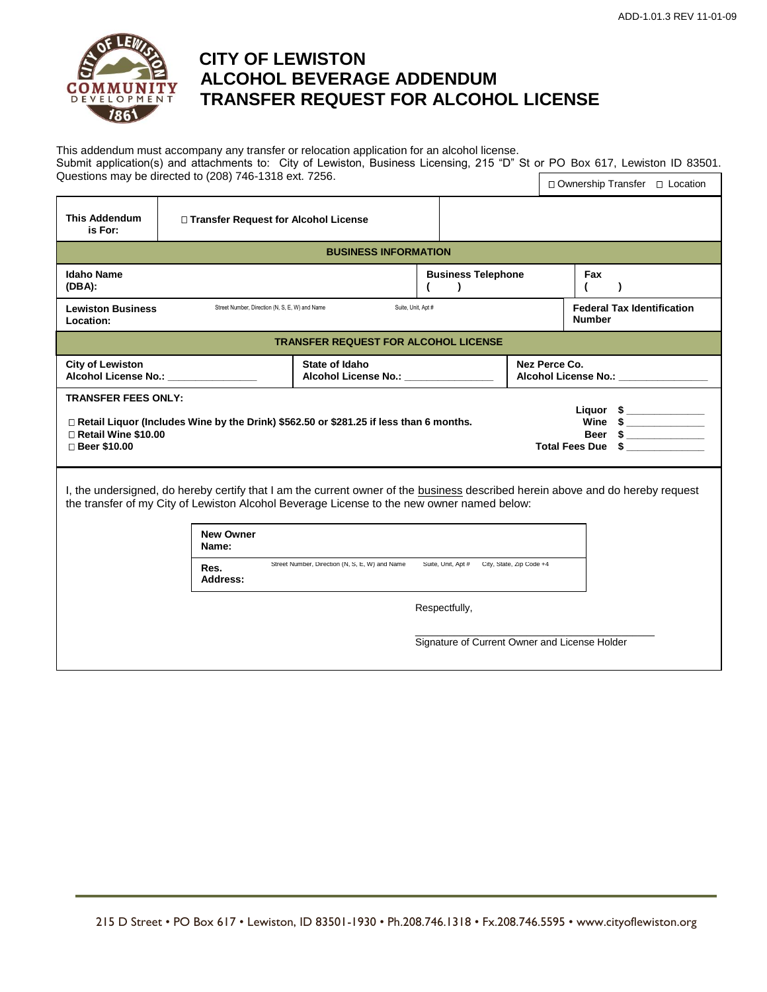

# **CITY OF LEWISTON ALCOHOL BEVERAGE ADDENDUM TRANSFER REQUEST FOR ALCOHOL LICENSE**

This addendum must accompany any transfer or relocation application for an alcohol license. Submit application(s) and attachments to: City of Lewiston, Business Licensing, 215 "D" St or PO Box 617, Lewiston ID 83501. Questions may be directed to (208) 746-1318 ext. 7256. □ Ownership Transfer □ Location

| <b>This Addendum</b><br>is For:                                                                                                                                                                                                                                  | □ Transfer Request for Alcohol License |                                                      |                                           |  |                                                      |  |  |  |
|------------------------------------------------------------------------------------------------------------------------------------------------------------------------------------------------------------------------------------------------------------------|----------------------------------------|------------------------------------------------------|-------------------------------------------|--|------------------------------------------------------|--|--|--|
| <b>BUSINESS INFORMATION</b>                                                                                                                                                                                                                                      |                                        |                                                      |                                           |  |                                                      |  |  |  |
| <b>Idaho Name</b><br>(DBA):                                                                                                                                                                                                                                      |                                        |                                                      | <b>Business Telephone</b><br>$\mathbf{r}$ |  | Fax<br>$\lambda$                                     |  |  |  |
| Street Number, Direction (N, S, E, W) and Name<br><b>Lewiston Business</b><br>Location:                                                                                                                                                                          |                                        |                                                      | Suite, Unit, Apt #                        |  | <b>Federal Tax Identification</b><br><b>Number</b>   |  |  |  |
| <b>TRANSFER REQUEST FOR ALCOHOL LICENSE</b>                                                                                                                                                                                                                      |                                        |                                                      |                                           |  |                                                      |  |  |  |
| <b>City of Lewiston</b>                                                                                                                                                                                                                                          | Alcohol License No.: ________________  | State of Idaho<br>Alcohol License No.: <b>Markon</b> |                                           |  | Nez Perce Co.<br>Alcohol License No.: ______________ |  |  |  |
| <b>TRANSFER FEES ONLY:</b><br>Liquor $\frac{1}{2}$<br>Wine $\frac{1}{2}$<br>□ Retail Liquor (Includes Wine by the Drink) \$562.50 or \$281.25 if less than 6 months.<br>□ Retail Wine \$10.00<br>Beer<br>$\sim$<br><b>Total Fees Due</b><br>□ Beer \$10.00       |                                        |                                                      |                                           |  |                                                      |  |  |  |
| I, the undersigned, do hereby certify that I am the current owner of the <b>business</b> described herein above and do hereby request<br>the transfer of my City of Lewiston Alcohol Beverage License to the new owner named below:<br><b>New Owner</b><br>Name: |                                        |                                                      |                                           |  |                                                      |  |  |  |
| Street Number, Direction (N, S, E, W) and Name<br>Suite, Unit, Apt # City, State, Zip Code +4<br>Res.<br>Address:                                                                                                                                                |                                        |                                                      |                                           |  |                                                      |  |  |  |
|                                                                                                                                                                                                                                                                  |                                        |                                                      | Respectfully,                             |  |                                                      |  |  |  |
| Signature of Current Owner and License Holder                                                                                                                                                                                                                    |                                        |                                                      |                                           |  |                                                      |  |  |  |